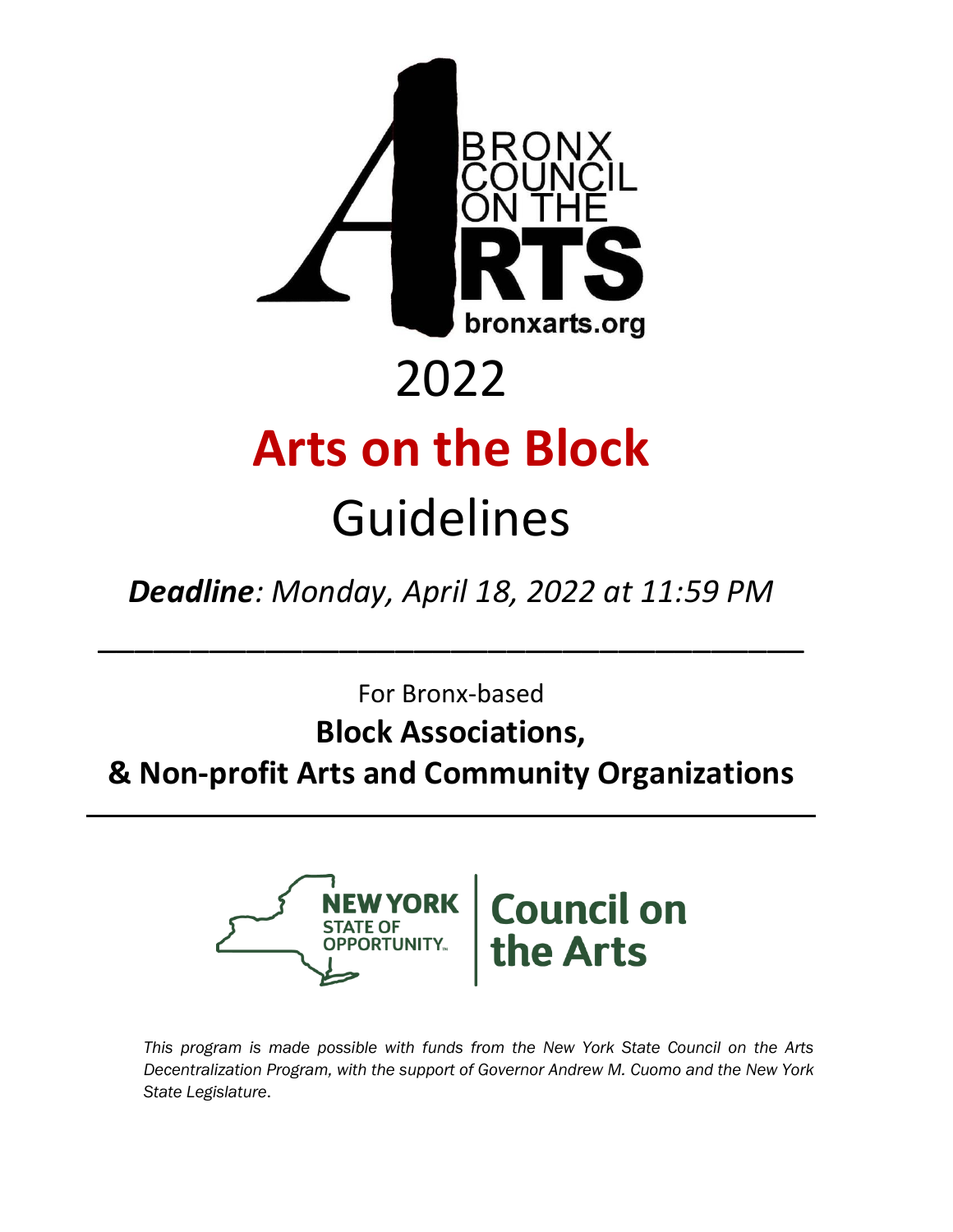

*Deadline: Monday, April 18, 2022 at 11:59 PM*

\_\_\_\_\_\_\_\_\_\_\_\_\_\_\_\_\_\_\_\_\_\_\_\_\_\_\_\_\_\_\_\_\_\_\_\_\_\_

For Bronx-based

### **Block Associations,**

**& Non-profit Arts and Community Organizations**



*This program is made possible with funds from the New York State Council on the Arts Decentralization Program, with the support of Governor Andrew M. Cuomo and the New York State Legislature*.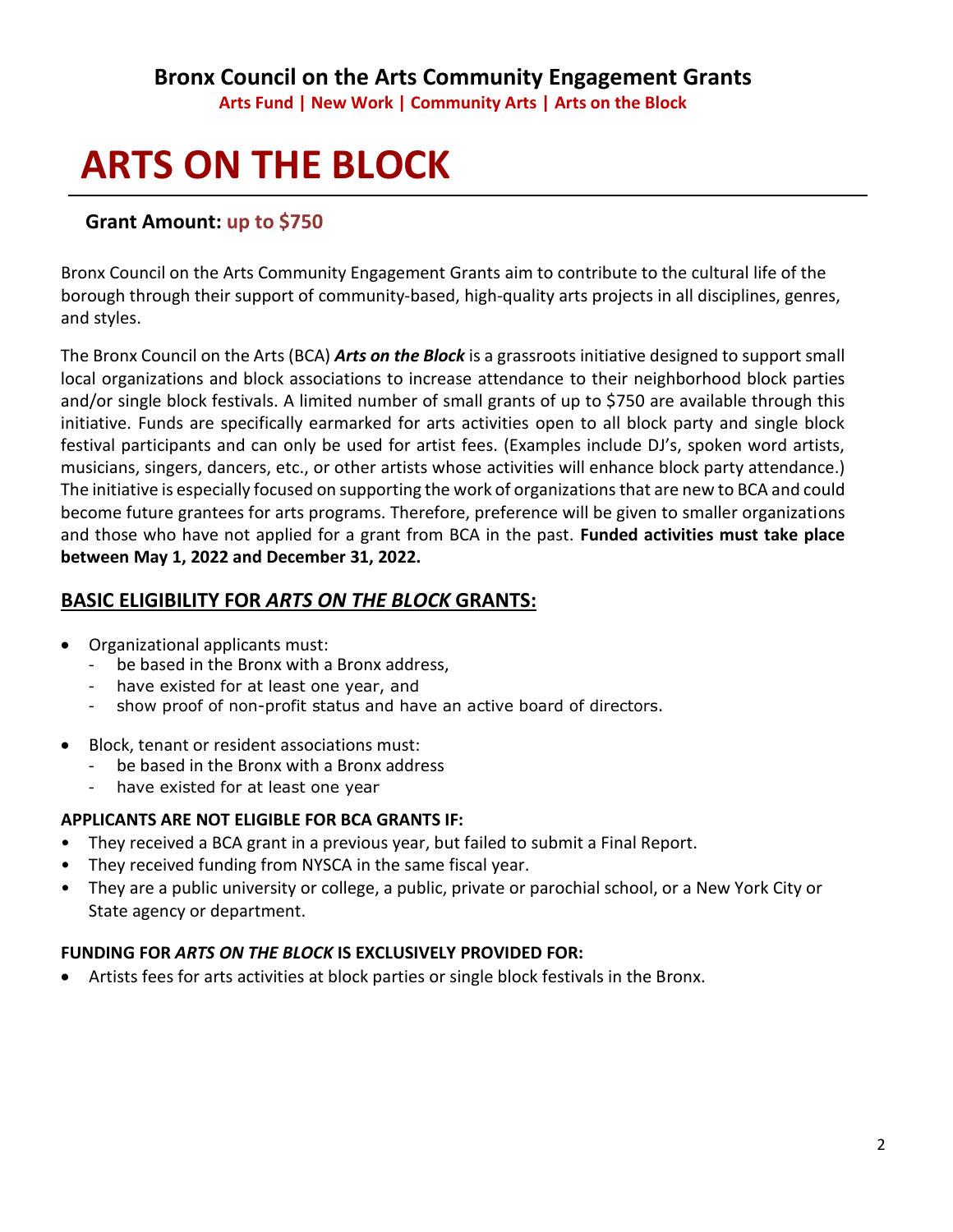#### **Bronx Council on the Arts Community Engagement Grants Arts Fund | New Work | Community Arts | Arts on the Block**

## **ARTS ON THE BLOCK**

#### **Grant Amount: up to \$750**

Bronx Council on the Arts Community Engagement Grants aim to contribute to the cultural life of the borough through their support of community-based, high-quality arts projects in all disciplines, genres, and styles.

The Bronx Council on the Arts (BCA) *Arts on the Block* is a grassroots initiative designed to support small local organizations and block associations to increase attendance to their neighborhood block parties and/or single block festivals. A limited number of small grants of up to \$750 are available through this initiative. Funds are specifically earmarked for arts activities open to all block party and single block festival participants and can only be used for artist fees. (Examples include DJ's, spoken word artists, musicians, singers, dancers, etc., or other artists whose activities will enhance block party attendance.) The initiative is especially focused on supporting the work of organizations that are new to BCA and could become future grantees for arts programs. Therefore, preference will be given to smaller organizations and those who have not applied for a grant from BCA in the past. **Funded activities must take place between May 1, 2022 and December 31, 2022.**

#### **BASIC ELIGIBILITY FOR** *ARTS ON THE BLOCK* **GRANTS:**

- Organizational applicants must:
	- be based in the Bronx with a Bronx address,
	- have existed for at least one year, and
	- show proof of non-profit status and have an active board of directors.
- Block, tenant or resident associations must:
	- be based in the Bronx with a Bronx address
		- have existed for at least one year

#### **APPLICANTS ARE NOT ELIGIBLE FOR BCA GRANTS IF:**

- They received a BCA grant in a previous year, but failed to submit a Final Report.
- They received funding from NYSCA in the same fiscal year.
- They are a public university or college, a public, private or parochial school, or a New York City or State agency or department.

#### **FUNDING FOR** *ARTS ON THE BLOCK* **IS EXCLUSIVELY PROVIDED FOR:**

• Artists fees for arts activities at block parties or single block festivals in the Bronx.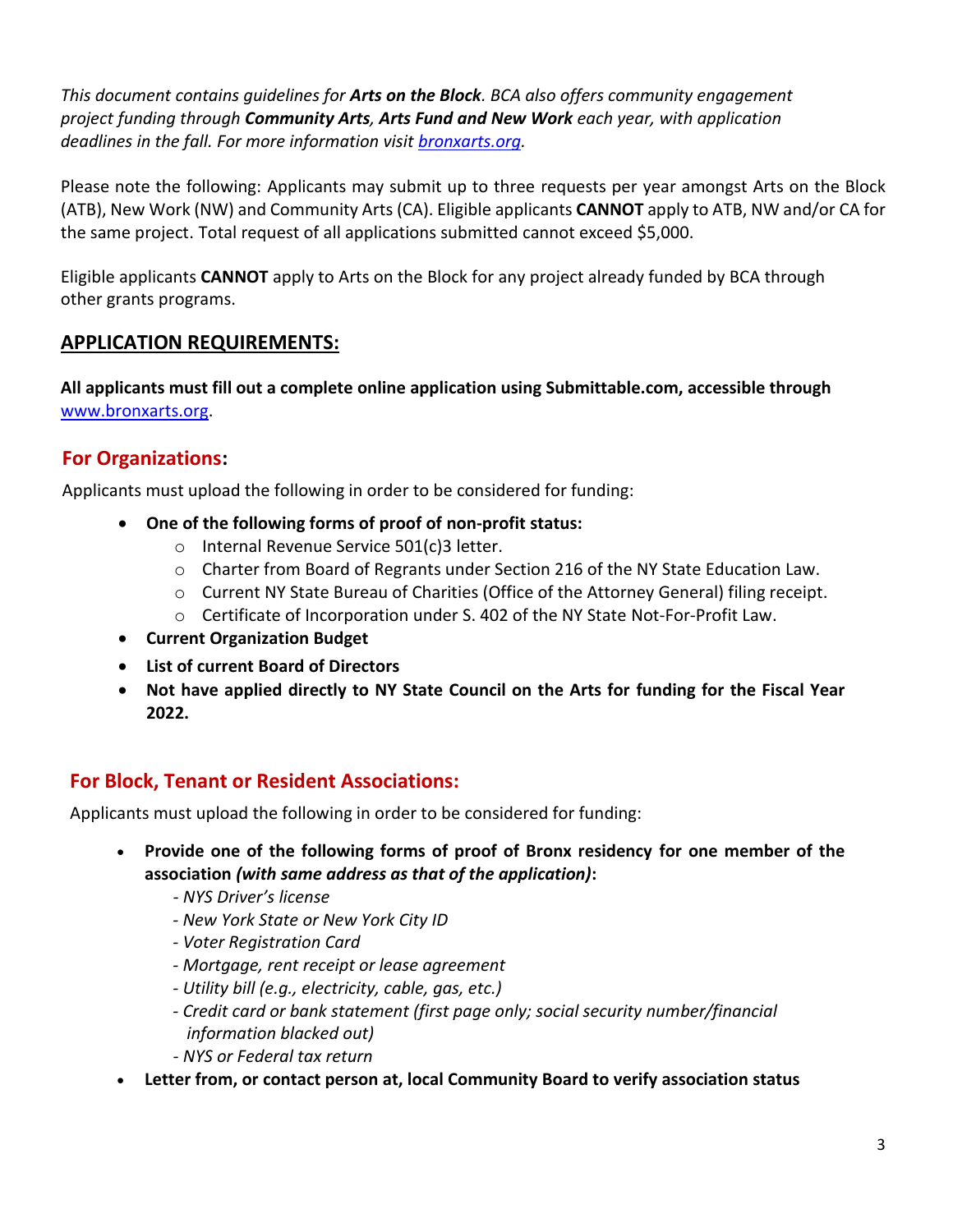*This document contains guidelines for Arts on the Block. BCA also offers community engagement project funding through Community Arts, Arts Fund and New Work each year, with application deadlines in the fall. For more information visit [bronxarts.org.](http://www.bronxarts.org/)*

Please note the following: Applicants may submit up to three requests per year amongst Arts on the Block (ATB), New Work (NW) and Community Arts (CA). Eligible applicants **CANNOT** apply to ATB, NW and/or CA for the same project. Total request of all applications submitted cannot exceed \$5,000.

Eligible applicants **CANNOT** apply to Arts on the Block for any project already funded by BCA through other grants programs.

#### **APPLICATION REQUIREMENTS:**

**All applicants must fill out a complete online application using Submittable.com, accessible through** [www.bronxarts.org.](http://www.bronxarts.org/)

#### **For Organizations:**

Applicants must upload the following in order to be considered for funding:

- **One of the following forms of proof of non-profit status:**
	- o Internal Revenue Service 501(c)3 letter.
	- $\circ$  Charter from Board of Regrants under Section 216 of the NY State Education Law.
	- o Current NY State Bureau of Charities (Office of the Attorney General) filing receipt.
	- o Certificate of Incorporation under S. 402 of the NY State Not-For-Profit Law.
- **Current Organization Budget**
- **List of current Board of Directors**
- **Not have applied directly to NY State Council on the Arts for funding for the Fiscal Year 2022.**

#### **For Block, Tenant or Resident Associations:**

Applicants must upload the following in order to be considered for funding:

- **Provide one of the following forms of proof of Bronx residency for one member of the association** *(with same address as that of the application)***:**
	- *- NYS Driver's license*
	- *- New York State or New York City ID*
	- *- Voter Registration Card*
	- *- Mortgage, rent receipt or lease agreement*
	- *- Utility bill (e.g., electricity, cable, gas, etc.)*
	- *- Credit card or bank statement (first page only; social security number/financial information blacked out)*
	- *- NYS or Federal tax return*
- **Letter from, or contact person at, local Community Board to verify association status**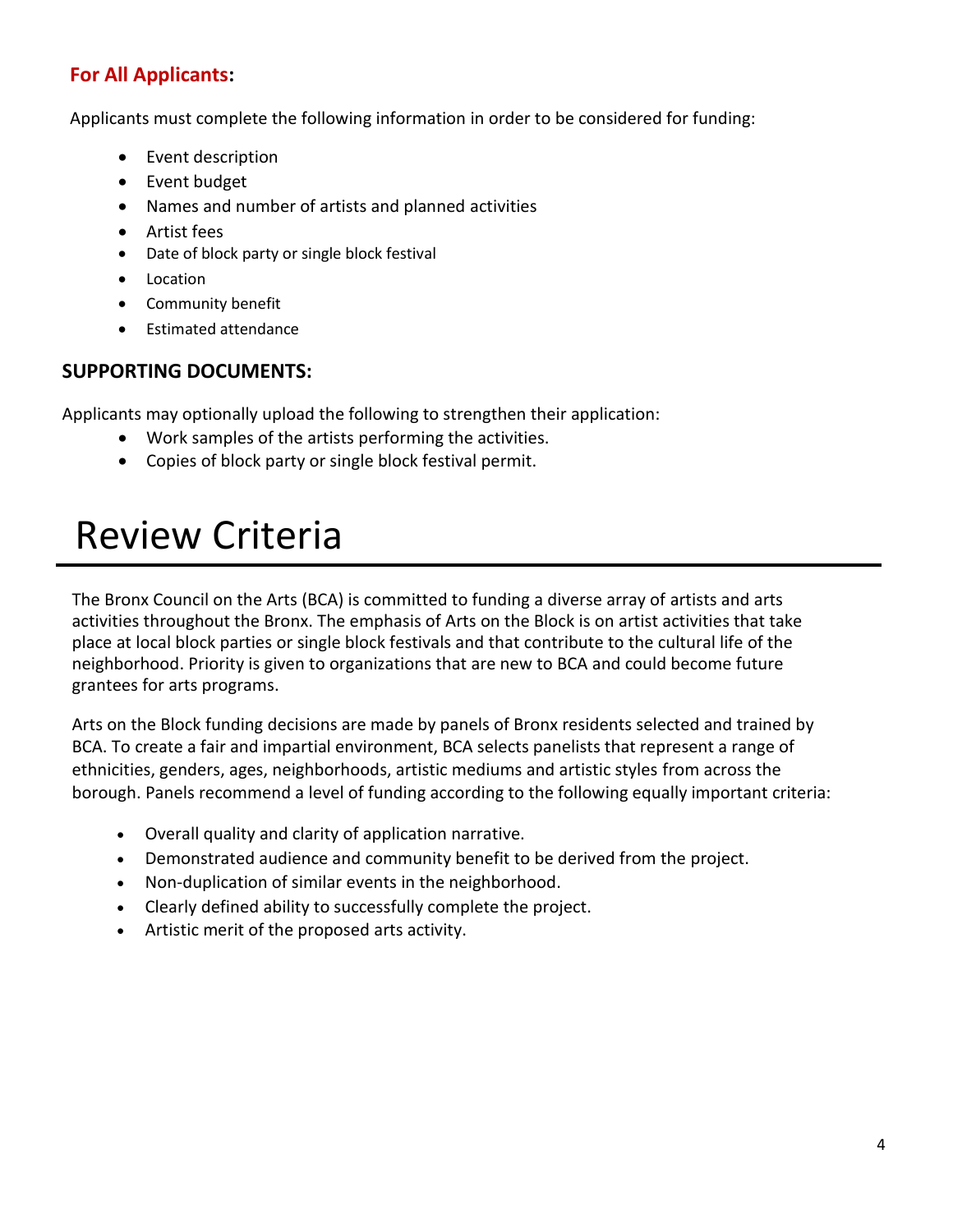#### **For All Applicants:**

Applicants must complete the following information in order to be considered for funding:

- Event description
- Event budget
- Names and number of artists and planned activities
- Artist fees
- Date of block party or single block festival
- Location
- Community benefit
- Estimated attendance

#### **SUPPORTING DOCUMENTS:**

Applicants may optionally upload the following to strengthen their application:

- Work samples of the artists performing the activities.
- Copies of block party or single block festival permit.

## Review Criteria

The Bronx Council on the Arts (BCA) is committed to funding a diverse array of artists and arts activities throughout the Bronx. The emphasis of Arts on the Block is on artist activities that take place at local block parties or single block festivals and that contribute to the cultural life of the neighborhood. Priority is given to organizations that are new to BCA and could become future grantees for arts programs.

Arts on the Block funding decisions are made by panels of Bronx residents selected and trained by BCA. To create a fair and impartial environment, BCA selects panelists that represent a range of ethnicities, genders, ages, neighborhoods, artistic mediums and artistic styles from across the borough. Panels recommend a level of funding according to the following equally important criteria:

- Overall quality and clarity of application narrative.
- Demonstrated audience and community benefit to be derived from the project.
- Non-duplication of similar events in the neighborhood.
- Clearly defined ability to successfully complete the project.
- Artistic merit of the proposed arts activity.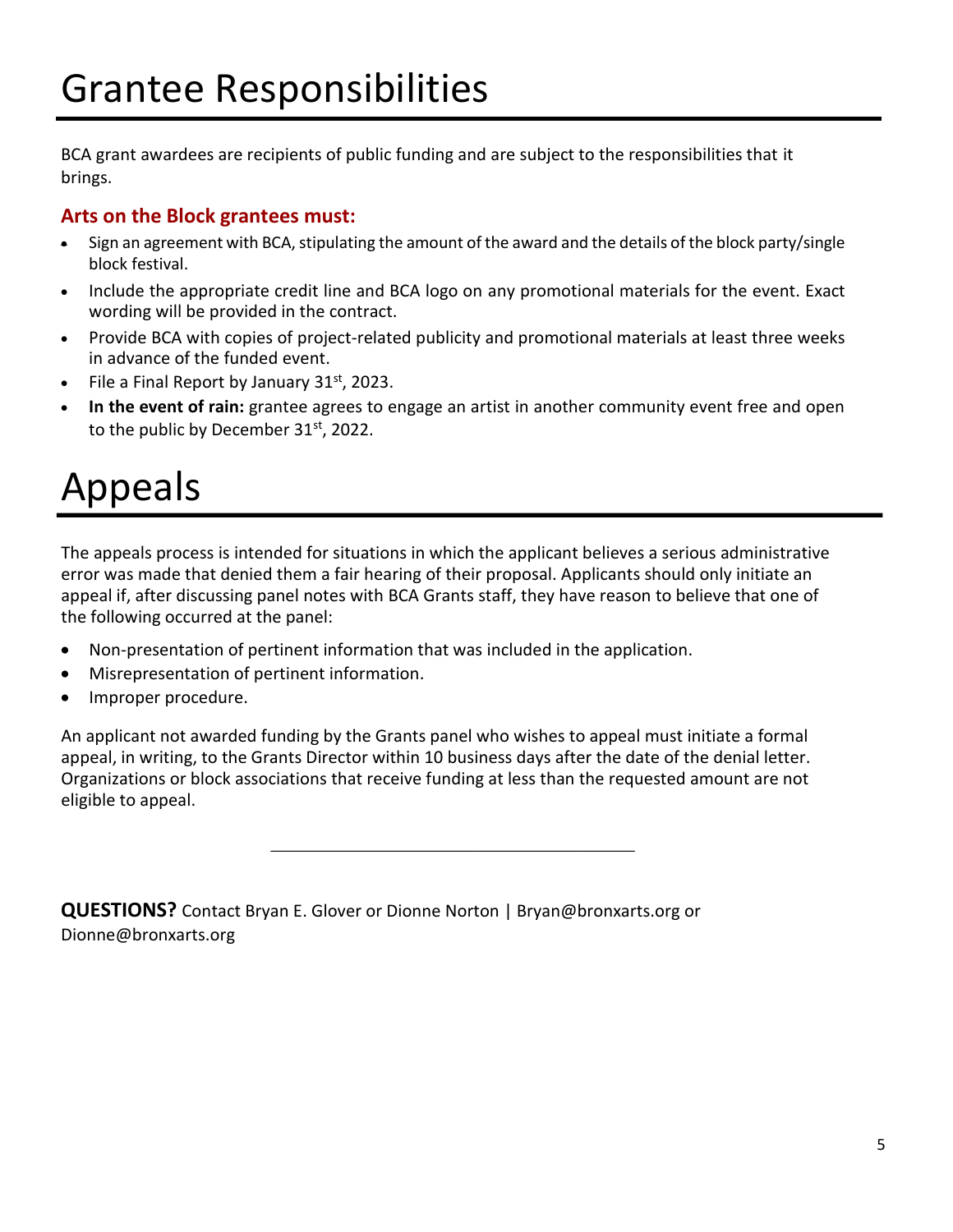BCA grant awardees are recipients of public funding and are subject to the responsibilities that it brings.

#### **Arts on the Block grantees must:**

- Sign an agreement with BCA, stipulating the amount of the award and the details of the block party/single block festival.
- Include the appropriate credit line and BCA logo on any promotional materials for the event. Exact wording will be provided in the contract.
- Provide BCA with copies of project-related publicity and promotional materials at least three weeks in advance of the funded event.
- File a Final Report by January  $31<sup>st</sup>$ , 2023.
- **In the event of rain:** grantee agrees to engage an artist in another community event free and open to the public by December 31st, 2022.

# Appeals

The appeals process is intended for situations in which the applicant believes a serious administrative error was made that denied them a fair hearing of their proposal. Applicants should only initiate an appeal if, after discussing panel notes with BCA Grants staff, they have reason to believe that one of the following occurred at the panel:

- Non-presentation of pertinent information that was included in the application.
- Misrepresentation of pertinent information.
- Improper procedure.

An applicant not awarded funding by the Grants panel who wishes to appeal must initiate a formal appeal, in writing, to the Grants Director within 10 business days after the date of the denial letter. Organizations or block associations that receive funding at less than the requested amount are not eligible to appeal.

\_\_\_\_\_\_\_\_\_\_\_\_\_\_\_\_\_\_\_\_\_\_\_\_\_\_\_\_\_\_\_\_\_\_\_\_\_\_\_

**QUESTIONS?** Contact Bryan E. Glover or Dionne Norton | Bryan@bronxarts.org or Dionne@bronxarts.org